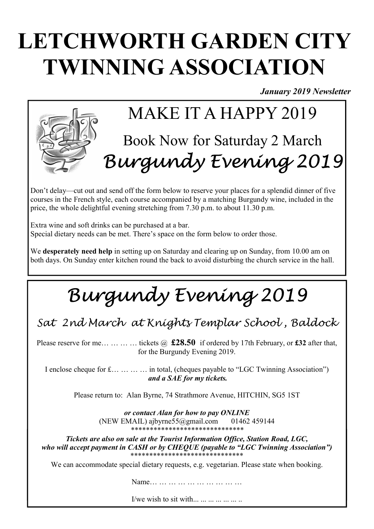# LETCHWORTH GARDEN CITY TWINNING ASSOCIATION

January 2019 Newsletter



Don't delay—cut out and send off the form below to reserve your places for a splendid dinner of five courses in the French style, each course accompanied by a matching Burgundy wine, included in the price, the whole delightful evening stretching from 7.30 p.m. to about 11.30 p.m.

Extra wine and soft drinks can be purchased at a bar. Special dietary needs can be met. There's space on the form below to order those.

We **desperately need help** in setting up on Saturday and clearing up on Sunday, from 10.00 am on both days. On Sunday enter kitchen round the back to avoid disturbing the church service in the hall.

# Burgundy Evening 2019

Sat 2nd March at Knights Templar School , Baldock

Please reserve for me... ... ... ... tickets  $\omega$  £28.50 if ordered by 17th February, or £32 after that, for the Burgundy Evening 2019.

I enclose cheque for £… … … … in total, (cheques payable to "LGC Twinning Association") and a SAE for my tickets.

Please return to: Alan Byrne, 74 Strathmore Avenue, HITCHIN, SG5 1ST

or contact Alan for how to pay ONLINE (NEW EMAIL) ajbyrne55@gmail.com 01462 459144 \*\*\*\*\*\*\*\*\*\*\*\*\*\*\*\*\*\*\*\*\*\*\*\*\*\*\*\*\*\*

Tickets are also on sale at the Tourist Information Office, Station Road, LGC, mo ma accept payment in Crisit or by Critige a payment to 500 theming resocution who will accept payment in CASH or by CHEOUE (payable to "LGC Twinning Association")

We can accommodate special dietary requests, e.g. vegetarian. Please state when booking.  $\mathcal{L}$  is the matrix from Letchworth and Changy. Since  $\mathcal{L}$  is  $\mathcal{L}$  is  $\mathcal{L}$  is the partner families families.

Name… … … … … … … … … … …

I/we wish to sit with... ... ... ... ... ... ...